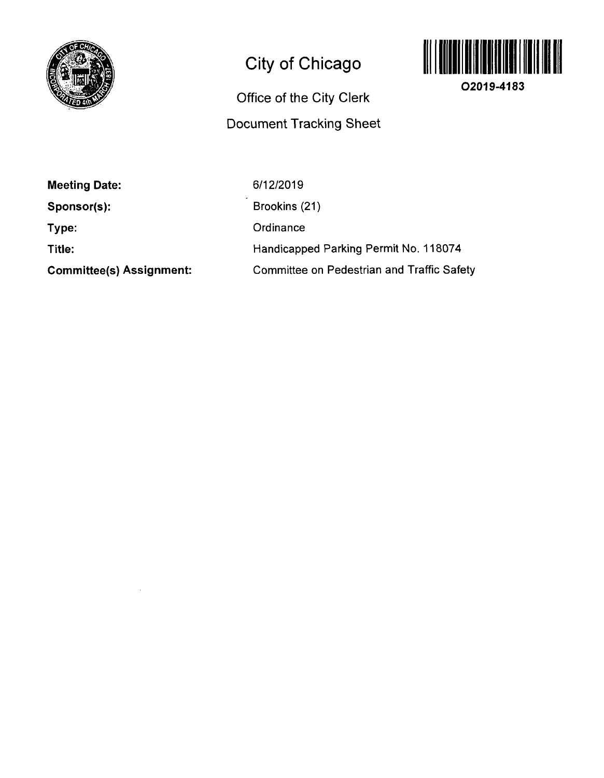

 $\mathcal{A}^{\mathcal{A}}$ 

## City of Chicago

## Office of the City Clerk Document Tracking Sheet



02019-4183

| <b>Meeting Date:</b>            | 6/12/2019                                         |
|---------------------------------|---------------------------------------------------|
| Sponsor(s):                     | Brookins (21)                                     |
| Type:                           | Ordinance                                         |
| Title:                          | Handicapped Parking Permit No. 118074             |
| <b>Committee(s) Assignment:</b> | <b>Committee on Pedestrian and Traffic Safety</b> |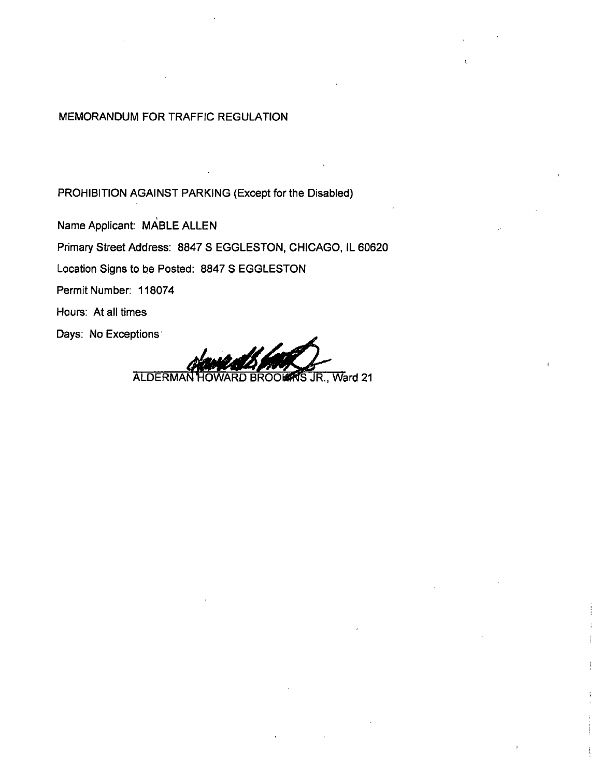## MEMORANDUM FOR TRAFFIC REGULATION

PROHIBITION AGAINST PARKING (Except for the Disabled)

Name Applicant: MABLE ALLEN Primary Street Address: 8847 S EGGLESTON, CHICAGO, IL 60620 Location Signs to be Posted: 8847 S EGGLESTON Permit Number: 118074 Hours: At all times

Days: No Exceptions:

ALDERMAN HOWARD BROOM IS JR., Ward 21